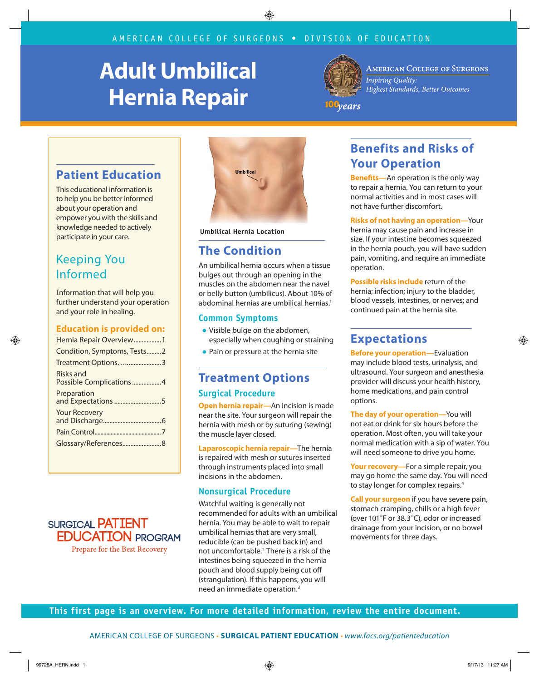# **Adult Umbilical Hernia Repair**



**AMERICAN COLLEGE OF SURGEONS Inspiring Quality:** Highest Standards, Better Outcomes

100years

### **Patient Education**

This educational information is to help you be better informed about your operation and empower you with the skills and knowledge needed to actively participate in your care.

## Keeping You Informed

Information that will help you further understand your operation and your role in healing.

#### **Education is provided on:**

| Hernia Repair Overview1              |  |  |  |
|--------------------------------------|--|--|--|
| Condition, Symptoms, Tests2          |  |  |  |
| Treatment Options3                   |  |  |  |
| Risks and<br>Possible Complications4 |  |  |  |
| Preparation<br>and Expectations 5    |  |  |  |
| <b>Your Recovery</b>                 |  |  |  |
|                                      |  |  |  |
| Glossary/References8                 |  |  |  |
|                                      |  |  |  |





**Umbilical Hernia Location**

### **The Condition**

An umbilical hernia occurs when a tissue bulges out through an opening in the muscles on the abdomen near the navel or belly button (umbilicus). About 10% of abdominal hernias are umbilical hernias.<sup>1</sup>

#### **Common Symptoms**

- Visible bulge on the abdomen, especially when coughing or straining
- Pain or pressure at the hernia site

### **Treatment Options Surgical Procedure**

**Open hernia repair—**An incision is made near the site. Your surgeon will repair the hernia with mesh or by suturing (sewing) the muscle layer closed.

**Laparoscopic hernia repair—**The hernia is repaired with mesh or sutures inserted through instruments placed into small incisions in the abdomen.

#### **Nonsurgical Procedure**

Watchful waiting is generally not recommended for adults with an umbilical hernia. You may be able to wait to repair umbilical hernias that are very small, reducible (can be pushed back in) and not uncomfortable.<sup>2</sup> There is a risk of the intestines being squeezed in the hernia pouch and blood supply being cut off (strangulation). If this happens, you will need an immediate operation.<sup>3</sup>

# **Benefits and Risks of Your Operation**

**Benefits—**An operation is the only way to repair a hernia. You can return to your normal activities and in most cases will not have further discomfort.

**Risks of not having an operation—**Your hernia may cause pain and increase in size. If your intestine becomes squeezed in the hernia pouch, you will have sudden pain, vomiting, and require an immediate operation.

**Possible risks include** return of the hernia; infection; injury to the bladder, blood vessels, intestines, or nerves; and continued pain at the hernia site.

## **Expectations**

**Before your operation—**Evaluation may include blood tests, urinalysis, and ultrasound. Your surgeon and anesthesia provider will discuss your health history, home medications, and pain control options.

**The day of your operation—**You will not eat or drink for six hours before the operation. Most often, you will take your normal medication with a sip of water. You will need someone to drive you home.

**Your recovery—**For a simple repair, you may go home the same day. You will need to stay longer for complex repairs.<sup>4</sup>

**Call your surgeon** if you have severe pain, stomach cramping, chills or a high fever (over 101°F or 38.3°C), odor or increased drainage from your incision, or no bowel movements for three days.

**This first page is an overview. For more detailed information, review the entire document.**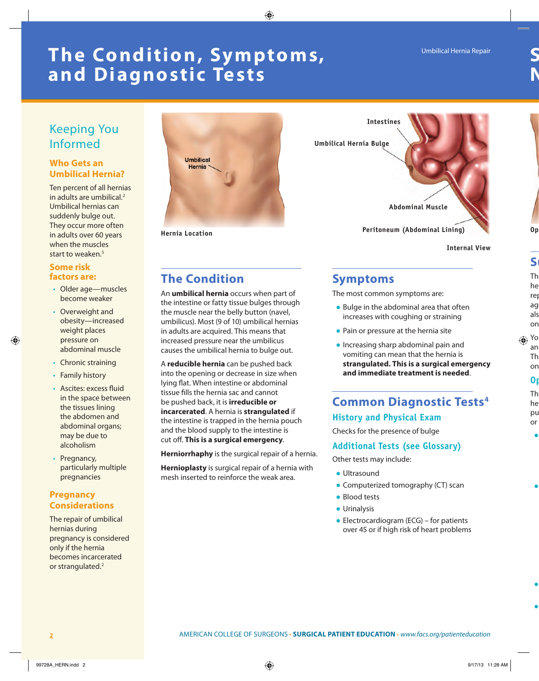# **The Condition, Symptoms, and Diagnostic Tests**

### Keeping You Informed

#### **Who Gets an Umbilical Hernia?**

Ten percent of all hernias in adults are umbilical.<sup>2</sup> Umbilical hernias can suddenly bulge out. They occur more often in adults over 60 years when the muscles start to weaken.<sup>5</sup>

#### **Some risk factors are:**

- Older age—muscles become weaker
- Overweight and obesity—increased weight places pressure on abdominal muscle
- Chronic straining
- Family history
- Ascites: excess fluid in the space between the tissues lining the abdomen and abdominal organs; may be due to alcoholism
- Pregnancy, particularly multiple pregnancies

#### **Pregnancy Considerations**

The repair of umbilical hernias during pregnancy is considered only if the hernia becomes incarcerated or strangulated.<sup>2</sup>



**Hernia Location**



**Internal View**

## **The Condition**

An **umbilical hernia** occurs when part of the intestine or fatty tissue bulges through the muscle near the belly button (navel, umbilicus). Most (9 of 10) umbilical hernias in adults are acquired. This means that increased pressure near the umbilicus causes the umbilical hernia to bulge out.

A **reducible hernia** can be pushed back into the opening or decrease in size when lying flat. When intestine or abdominal tissue fills the hernia sac and cannot be pushed back, it is **irreducible or incarcerated**. A hernia is **strangulated** if the intestine is trapped in the hernia pouch and the blood supply to the intestine is cut off. **This is a surgical emergency**.

**Herniorrhaphy** is the surgical repair of a hernia.

**Hernioplasty** is surgical repair of a hernia with mesh inserted to reinforce the weak area.

### **Symptoms**

The most common symptoms are:

- Bulge in the abdominal area that often increases with coughing or straining
- Pain or pressure at the hernia site
- Increasing sharp abdominal pain and vomiting can mean that the hernia is **strangulated. This is a surgical emergency and immediate treatment is needed**.

# **Common Diagnostic Tests4**

#### **History and Physical Exam**

Checks for the presence of bulge

### **Additional Tests (see Glossary)**

Other tests may include:

- Ultrasound
- Computerized tomography (CT) scan
- Blood tests
- Urinalysis
- $\bullet$  Electrocardiogram (ECG) for patients over 45 or if high risk of heart problems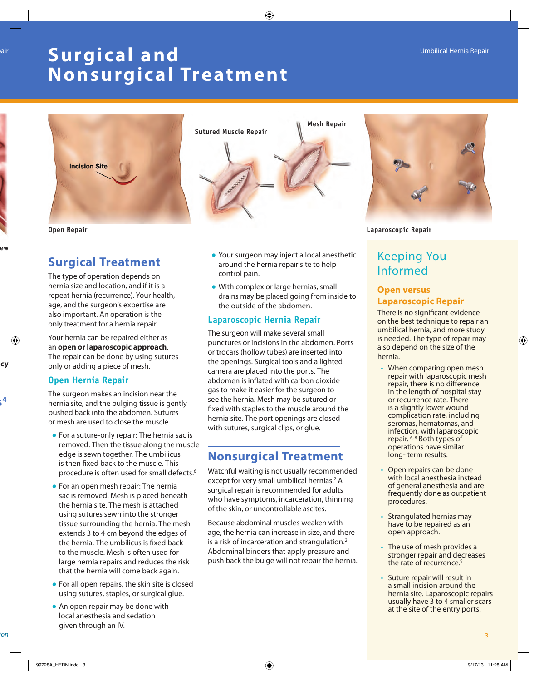# **Surgic al and**  Umbilical Hernia Repair Umbilical Hernia Repair **Nonsurgical Treatment**



### **Surgical Treatment**

The type of operation depends on hernia size and location, and if it is a repeat hernia (recurrence). Your health, age, and the surgeon's expertise are also important. An operation is the only treatment for a hernia repair.

Your hernia can be repaired either as an **open or laparoscopic approach**. The repair can be done by using sutures only or adding a piece of mesh.

#### **Open Hernia Repair**

The surgeon makes an incision near the hernia site, and the bulging tissue is gently pushed back into the abdomen. Sutures or mesh are used to close the muscle.

- For a suture-only repair: The hernia sac is removed. Then the tissue along the muscle edge is sewn together. The umbilicus is then fixed back to the muscle. This procedure is often used for small defects.<sup>6</sup>
- For an open mesh repair: The hernia sac is removed. Mesh is placed beneath the hernia site. The mesh is attached using sutures sewn into the stronger tissue surrounding the hernia. The mesh extends 3 to 4 cm beyond the edges of the hernia. The umbilicus is fixed back to the muscle. Mesh is often used for large hernia repairs and reduces the risk that the hernia will come back again.
- For all open repairs, the skin site is closed using sutures, staples, or surgical glue.
- An open repair may be done with local anesthesia and sedation given through an IV.



- Your surgeon may inject a local anesthetic around the hernia repair site to help control pain.
- With complex or large hernias, small drains may be placed going from inside to the outside of the abdomen.

#### **Laparoscopic Hernia Repair**

The surgeon will make several small punctures or incisions in the abdomen. Ports or trocars (hollow tubes) are inserted into the openings. Surgical tools and a lighted camera are placed into the ports. The abdomen is inflated with carbon dioxide gas to make it easier for the surgeon to see the hernia. Mesh may be sutured or fixed with staples to the muscle around the hernia site. The port openings are closed with sutures, surgical clips, or glue.

### **Nonsurgical Treatment**

Watchful waiting is not usually recommended except for very small umbilical hernias.<sup>7</sup> A surgical repair is recommended for adults who have symptoms, incarceration, thinning of the skin, or uncontrollable ascites.

Because abdominal muscles weaken with age, the hernia can increase in size, and there is a risk of incarceration and strangulation.<sup>2</sup> Abdominal binders that apply pressure and push back the bulge will not repair the hernia.



**Open Repair Laparoscopic Repair**

## Keeping You Informed

#### **Open versus Laparoscopic Repair**

There is no significant evidence on the best technique to repair an umbilical hernia, and more study is needed. The type of repair may also depend on the size of the hernia.

- When comparing open mesh repair with laparoscopic mesh repair, there is no difference in the length of hospital stay or recurrence rate. There is a slightly lower wound complication rate, including seromas, hematomas, and infection, with laparoscopic repair. 6, 8 Both types of operations have similar long- term results.
- Open repairs can be done with local anesthesia instead of general anesthesia and are frequently done as outpatient procedures.
- Strangulated hernias may have to be repaired as an open approach.
- The use of mesh provides a stronger repair and decreases the rate of recurrence.<sup>9</sup>
- Suture repair will result in a small incision around the hernia site. Laparoscopic repairs usually have 3 to 4 smaller scars at the site of the entry ports.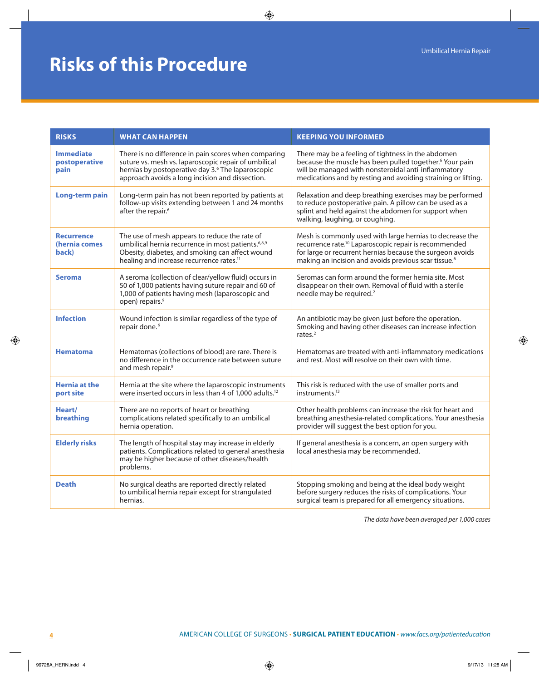# **Risks of this Procedure**

| <b>RISKS</b>                                | <b>WHAT CAN HAPPEN</b>                                                                                                                                                                                                           | <b>KEEPING YOU INFORMED</b>                                                                                                                                                                                                                                    |
|---------------------------------------------|----------------------------------------------------------------------------------------------------------------------------------------------------------------------------------------------------------------------------------|----------------------------------------------------------------------------------------------------------------------------------------------------------------------------------------------------------------------------------------------------------------|
| <b>Immediate</b><br>postoperative<br>pain   | There is no difference in pain scores when comparing<br>suture vs. mesh vs. laparoscopic repair of umbilical<br>hernias by postoperative day 3. <sup>6</sup> The laparoscopic<br>approach avoids a long incision and dissection. | There may be a feeling of tightness in the abdomen<br>because the muscle has been pulled together. <sup>6</sup> Your pain<br>will be managed with nonsteroidal anti-inflammatory<br>medications and by resting and avoiding straining or lifting.              |
| <b>Long-term pain</b>                       | Long-term pain has not been reported by patients at<br>follow-up visits extending between 1 and 24 months<br>after the repair. <sup>6</sup>                                                                                      | Relaxation and deep breathing exercises may be performed<br>to reduce postoperative pain. A pillow can be used as a<br>splint and held against the abdomen for support when<br>walking, laughing, or coughing.                                                 |
| <b>Recurrence</b><br>(hernia comes<br>back) | The use of mesh appears to reduce the rate of<br>umbilical hernia recurrence in most patients. <sup>6,8,9</sup><br>Obesity, diabetes, and smoking can affect wound<br>healing and increase recurrence rates. <sup>11</sup>       | Mesh is commonly used with large hernias to decrease the<br>recurrence rate. <sup>10</sup> Laparoscopic repair is recommended<br>for large or recurrent hernias because the surgeon avoids<br>making an incision and avoids previous scar tissue. <sup>6</sup> |
| <b>Seroma</b>                               | A seroma (collection of clear/yellow fluid) occurs in<br>50 of 1,000 patients having suture repair and 60 of<br>1,000 of patients having mesh (laparoscopic and<br>open) repairs. <sup>9</sup>                                   | Seromas can form around the former hernia site. Most<br>disappear on their own. Removal of fluid with a sterile<br>needle may be required. <sup>2</sup>                                                                                                        |
| <b>Infection</b>                            | Wound infection is similar regardless of the type of<br>repair done. <sup>9</sup>                                                                                                                                                | An antibiotic may be given just before the operation.<br>Smoking and having other diseases can increase infection<br>rates. $2$                                                                                                                                |
| <b>Hematoma</b>                             | Hematomas (collections of blood) are rare. There is<br>no difference in the occurrence rate between suture<br>and mesh repair. <sup>9</sup>                                                                                      | Hematomas are treated with anti-inflammatory medications<br>and rest. Most will resolve on their own with time.                                                                                                                                                |
| <b>Hernia at the</b><br>port site           | Hernia at the site where the laparoscopic instruments<br>were inserted occurs in less than 4 of 1,000 adults. <sup>12</sup>                                                                                                      | This risk is reduced with the use of smaller ports and<br>instruments. <sup>13</sup>                                                                                                                                                                           |
| Heart/<br>breathing                         | There are no reports of heart or breathing<br>complications related specifically to an umbilical<br>hernia operation.                                                                                                            | Other health problems can increase the risk for heart and<br>breathing anesthesia-related complications. Your anesthesia<br>provider will suggest the best option for you.                                                                                     |
| <b>Elderly risks</b>                        | The length of hospital stay may increase in elderly<br>patients. Complications related to general anesthesia<br>may be higher because of other diseases/health<br>problems.                                                      | If general anesthesia is a concern, an open surgery with<br>local anesthesia may be recommended.                                                                                                                                                               |
| <b>Death</b>                                | No surgical deaths are reported directly related<br>to umbilical hernia repair except for strangulated<br>hernias.                                                                                                               | Stopping smoking and being at the ideal body weight<br>before surgery reduces the risks of complications. Your<br>surgical team is prepared for all emergency situations.                                                                                      |

*The data have been averaged per 1,000 cases*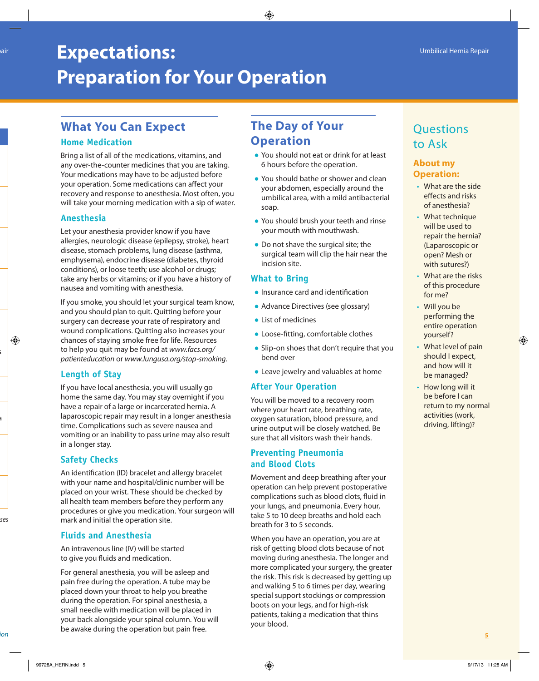# **Expectations:**  $\frac{1}{2}$  **Expectations:**  $\frac{1}{2}$  **Expectations:**  $\frac{1}{2}$  **Expectations:**  $\frac{1}{2}$  **Umbilical Hernia Repair Preparation for Your Operation**

## **What You Can Expect**

### **Home Medication**

Bring a list of all of the medications, vitamins, and any over-the-counter medicines that you are taking. Your medications may have to be adjusted before your operation. Some medications can affect your recovery and response to anesthesia. Most often, you will take your morning medication with a sip of water.

### **Anesthesia**

Let your anesthesia provider know if you have allergies, neurologic disease (epilepsy, stroke), heart disease, stomach problems, lung disease (asthma, emphysema), endocrine disease (diabetes, thyroid conditions), or loose teeth; use alcohol or drugs; take any herbs or vitamins; or if you have a history of nausea and vomiting with anesthesia.

If you smoke, you should let your surgical team know, and you should plan to quit. Quitting before your surgery can decrease your rate of respiratory and wound complications. Quitting also increases your chances of staying smoke free for life. Resources to help you quit may be found at *www.facs.org/ patienteducation* or *www.lungusa.org/stop-smoking.*

### **Length of Stay**

If you have local anesthesia, you will usually go home the same day. You may stay overnight if you have a repair of a large or incarcerated hernia. A laparoscopic repair may result in a longer anesthesia time. Complications such as severe nausea and vomiting or an inability to pass urine may also result in a longer stay.

### **Safety Checks**

An identification (ID) bracelet and allergy bracelet with your name and hospital/clinic number will be placed on your wrist. These should be checked by all health team members before they perform any procedures or give you medication. Your surgeon will mark and initial the operation site.

### **Fluids and Anesthesia**

An intravenous line (IV) will be started to give you fluids and medication.

For general anesthesia, you will be asleep and pain free during the operation. A tube may be placed down your throat to help you breathe during the operation. For spinal anesthesia, a small needle with medication will be placed in your back alongside your spinal column. You will be awake during the operation but pain free. AMERICAN COLLEGE OF SURGEONS • **SURGICAL PATIENT EDUCATION** • *www.facs.org/patienteducation* **5**

# **The Day of Your Operation**

- You should not eat or drink for at least 6 hours before the operation.
- You should bathe or shower and clean your abdomen, especially around the umbilical area, with a mild antibacterial soap.
- You should brush your teeth and rinse your mouth with mouthwash.
- Do not shave the surgical site; the surgical team will clip the hair near the incision site.

### **What to Bring**

- Insurance card and identification
- Advance Directives (see glossary)
- List of medicines
- Loose-fitting, comfortable clothes
- Slip-on shoes that don't require that you bend over
- Leave jewelry and valuables at home

### **After Your Operation**

You will be moved to a recovery room where your heart rate, breathing rate, oxygen saturation, blood pressure, and urine output will be closely watched. Be sure that all visitors wash their hands.

#### **Preventing Pneumonia and Blood Clots**

Movement and deep breathing after your operation can help prevent postoperative complications such as blood clots, fluid in your lungs, and pneumonia. Every hour, take 5 to 10 deep breaths and hold each breath for 3 to 5 seconds.

When you have an operation, you are at risk of getting blood clots because of not moving during anesthesia. The longer and more complicated your surgery, the greater the risk. This risk is decreased by getting up and walking 5 to 6 times per day, wearing special support stockings or compression boots on your legs, and for high-risk patients, taking a medication that thins your blood.

# **Questions** to Ask

### **About my Operation:**

- What are the side effects and risks of anesthesia?
- What technique will be used to repair the hernia? (Laparoscopic or open? Mesh or with sutures?)
- What are the risks of this procedure for me?
- Will you be performing the entire operation yourself?
- What level of pain should I expect, and how will it be managed?
- How long will it be before I can return to my normal activities (work, driving, lifting)?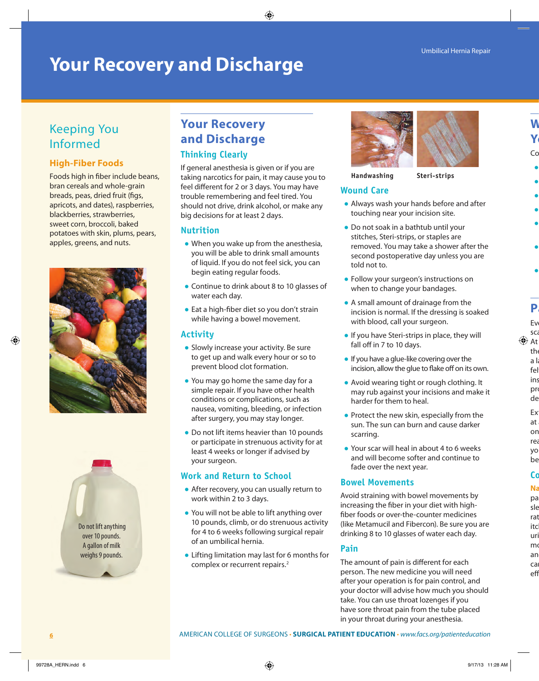# **Your Recovery and Discharge**

# Keeping You Informed

### **High-Fiber Foods**

Foods high in fiber include beans, bran cereals and whole-grain breads, peas, dried fruit (figs, apricots, and dates), raspberries, blackberries, strawberries, sweet corn, broccoli, baked potatoes with skin, plums, pears, apples, greens, and nuts.





# **Your Recovery and Discharge**

#### **Thinking Clearly**

If general anesthesia is given or if you are taking narcotics for pain, it may cause you to feel different for 2 or 3 days. You may have trouble remembering and feel tired. You should not drive, drink alcohol, or make any big decisions for at least 2 days.

#### **Nutrition**

- When you wake up from the anesthesia, you will be able to drink small amounts of liquid. If you do not feel sick, you can begin eating regular foods.
- Continue to drink about 8 to 10 glasses of water each day.
- Eat a high-fiber diet so you don't strain while having a bowel movement.

### **Activity**

- Slowly increase your activity. Be sure to get up and walk every hour or so to prevent blood clot formation.
- You may go home the same day for a simple repair. If you have other health conditions or complications, such as nausea, vomiting, bleeding, or infection after surgery, you may stay longer.
- Do not lift items heavier than 10 pounds or participate in strenuous activity for at least 4 weeks or longer if advised by your surgeon.

### **Work and Return to School**

- After recovery, you can usually return to work within 2 to 3 days.
- You will not be able to lift anything over 10 pounds, climb, or do strenuous activity for 4 to 6 weeks following surgical repair of an umbilical hernia.
- Lifting limitation may last for 6 months for complex or recurrent repairs.<sup>2</sup>



#### **Handwashing Steri-strips**

### **Wound Care**

- Always wash your hands before and after touching near your incision site.
- Do not soak in a bathtub until your stitches, Steri-strips, or staples are removed. You may take a shower after the second postoperative day unless you are told not to.
- Follow your surgeon's instructions on when to change your bandages.
- A small amount of drainage from the incision is normal. If the dressing is soaked with blood, call your surgeon.
- If you have Steri-strips in place, they will fall off in 7 to 10 days.
- If you have a glue-like covering over the incision, allow the glue to flake off on its own.
- Avoid wearing tight or rough clothing. It may rub against your incisions and make it harder for them to heal.
- Protect the new skin, especially from the sun. The sun can burn and cause darker scarring.
- Your scar will heal in about 4 to 6 weeks and will become softer and continue to fade over the next year.

### **Bowel Movements**

Avoid straining with bowel movements by increasing the fiber in your diet with highfiber foods or over-the-counter medicines (like Metamucil and Fibercon). Be sure you are drinking 8 to 10 glasses of water each day.

### **Pain**

The amount of pain is different for each person. The new medicine you will need after your operation is for pain control, and your doctor will advise how much you should take. You can use throat lozenges if you have sore throat pain from the tube placed in your throat during your anesthesia.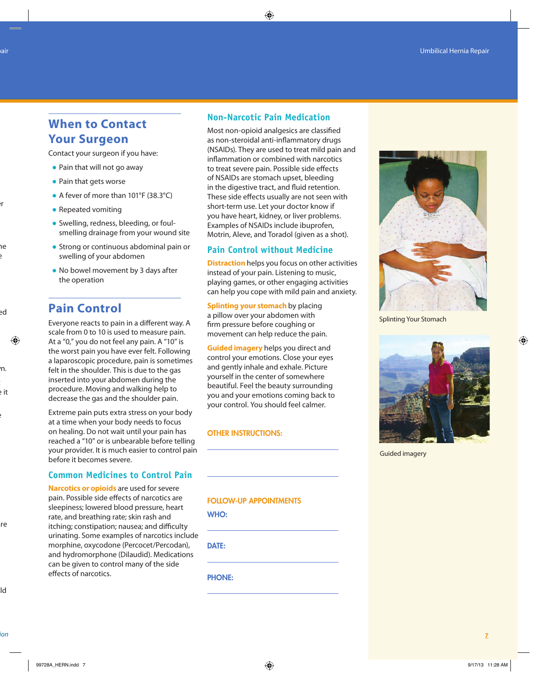### **When to Contact Your Surgeon**

Contact your surgeon if you have:

- Pain that will not go away
- Pain that gets worse
- A fever of more than 101°F (38.3°C)
- Repeated vomiting
- Swelling, redness, bleeding, or foulsmelling drainage from your wound site
- Strong or continuous abdominal pain or swelling of your abdomen
- No bowel movement by 3 days after the operation

### **Pain Control**

Everyone reacts to pain in a different way. A scale from 0 to 10 is used to measure pain. At a "0," you do not feel any pain. A "10" is the worst pain you have ever felt. Following a laparoscopic procedure, pain is sometimes felt in the shoulder. This is due to the gas inserted into your abdomen during the procedure. Moving and walking help to decrease the gas and the shoulder pain.

Extreme pain puts extra stress on your body at a time when your body needs to focus on healing. Do not wait until your pain has reached a "10" or is unbearable before telling your provider. It is much easier to control pain before it becomes severe.

#### **Common Medicines to Control Pain**

**Narcotics or opioids** are used for severe pain. Possible side effects of narcotics are sleepiness; lowered blood pressure, heart rate, and breathing rate; skin rash and itching; constipation; nausea; and difficulty urinating. Some examples of narcotics include morphine, oxycodone (Percocet/Percodan), and hydromorphone (Dilaudid). Medications can be given to control many of the side effects of narcotics.

#### **Non-Narcotic Pain Medication**

Most non-opioid analgesics are classified as non-steroidal anti-inflammatory drugs (NSAIDs). They are used to treat mild pain and inflammation or combined with narcotics to treat severe pain. Possible side effects of NSAIDs are stomach upset, bleeding in the digestive tract, and fluid retention. These side effects usually are not seen with short-term use. Let your doctor know if you have heart, kidney, or liver problems. Examples of NSAIDs include ibuprofen, Motrin, Aleve, and Toradol (given as a shot).

#### **Pain Control without Medicine**

**Distraction** helps you focus on other activities instead of your pain. Listening to music, playing games, or other engaging activities can help you cope with mild pain and anxiety.

**Splinting your stomach** by placing a pillow over your abdomen with firm pressure before coughing or movement can help reduce the pain.

**Guided imagery** helps you direct and control your emotions. Close your eyes and gently inhale and exhale. Picture yourself in the center of somewhere beautiful. Feel the beauty surrounding you and your emotions coming back to your control. You should feel calmer.

#### OTHER INSTRUCTIONS:



WHO:

DATE:

PHONE:



Splinting Your Stomach



Guided imagery